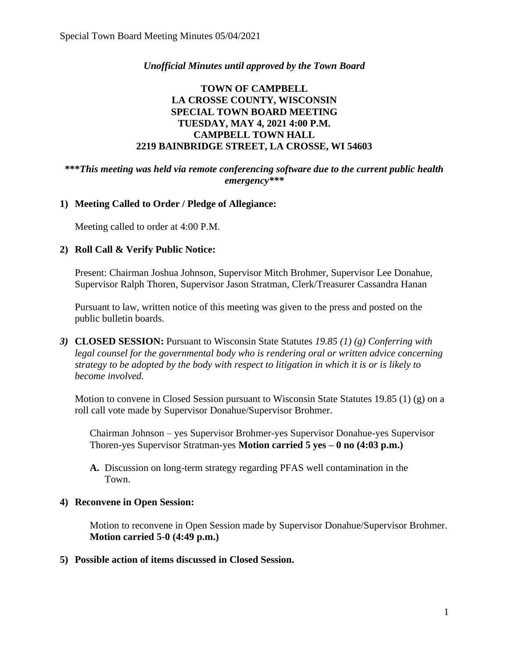## *Unofficial Minutes until approved by the Town Board*

## **TOWN OF CAMPBELL LA CROSSE COUNTY, WISCONSIN SPECIAL TOWN BOARD MEETING TUESDAY, MAY 4, 2021 4:00 P.M. CAMPBELL TOWN HALL 2219 BAINBRIDGE STREET, LA CROSSE, WI 54603**

#### **\*\*\****This meeting was held via remote conferencing software due to the current public health emergency\*\*\**

#### **1) Meeting Called to Order / Pledge of Allegiance:**

Meeting called to order at 4:00 P.M.

#### **2) Roll Call & Verify Public Notice:**

Present: Chairman Joshua Johnson, Supervisor Mitch Brohmer, Supervisor Lee Donahue, Supervisor Ralph Thoren, Supervisor Jason Stratman, Clerk/Treasurer Cassandra Hanan

Pursuant to law, written notice of this meeting was given to the press and posted on the public bulletin boards.

*3)* **CLOSED SESSION:** Pursuant to Wisconsin State Statutes *19.85 (1) (g) Conferring with legal counsel for the governmental body who is rendering oral or written advice concerning strategy to be adopted by the body with respect to litigation in which it is or is likely to become involved.*

Motion to convene in Closed Session pursuant to Wisconsin State Statutes 19.85 (1) (g) on a roll call vote made by Supervisor Donahue/Supervisor Brohmer.

Chairman Johnson – yes Supervisor Brohmer-yes Supervisor Donahue-yes Supervisor Thoren-yes Supervisor Stratman-yes **Motion carried 5 yes – 0 no (4:03 p.m.)**

**A.** Discussion on long-term strategy regarding PFAS well contamination in the Town.

#### **4) Reconvene in Open Session:**

Motion to reconvene in Open Session made by Supervisor Donahue/Supervisor Brohmer. **Motion carried 5-0 (4:49 p.m.)**

**5) Possible action of items discussed in Closed Session.**